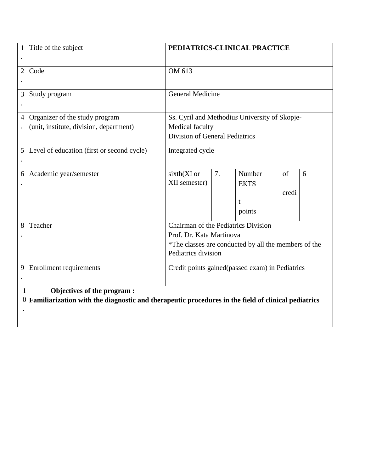| 1                | Title of the subject                                                                                                             | PEDIATRICS-CLINICAL PRACTICE                                                                                                                   |    |                                      |             |   |  |  |  |
|------------------|----------------------------------------------------------------------------------------------------------------------------------|------------------------------------------------------------------------------------------------------------------------------------------------|----|--------------------------------------|-------------|---|--|--|--|
| $\overline{2}$   | Code                                                                                                                             | OM 613                                                                                                                                         |    |                                      |             |   |  |  |  |
| 3<br>$\bullet$   | Study program                                                                                                                    | <b>General Medicine</b>                                                                                                                        |    |                                      |             |   |  |  |  |
| 4                | Organizer of the study program<br>(unit, institute, division, department)                                                        | Ss. Cyril and Methodius University of Skopje-<br>Medical faculty<br>Division of General Pediatrics                                             |    |                                      |             |   |  |  |  |
| 5                | Level of education (first or second cycle)                                                                                       | Integrated cycle                                                                                                                               |    |                                      |             |   |  |  |  |
| 6                | Academic year/semester                                                                                                           | sixth(XI or<br>XII semester)                                                                                                                   | 7. | Number<br><b>EKTS</b><br>t<br>points | of<br>credi | 6 |  |  |  |
| 8                | Teacher                                                                                                                          | Chairman of the Pediatrics Division<br>Prof. Dr. Kata Martinova<br>*The classes are conducted by all the members of the<br>Pediatrics division |    |                                      |             |   |  |  |  |
| 9                | Enrollment requirements                                                                                                          | Credit points gained (passed exam) in Pediatrics                                                                                               |    |                                      |             |   |  |  |  |
| $\boldsymbol{0}$ | Objectives of the program:<br>Familiarization with the diagnostic and therapeutic procedures in the field of clinical pediatrics |                                                                                                                                                |    |                                      |             |   |  |  |  |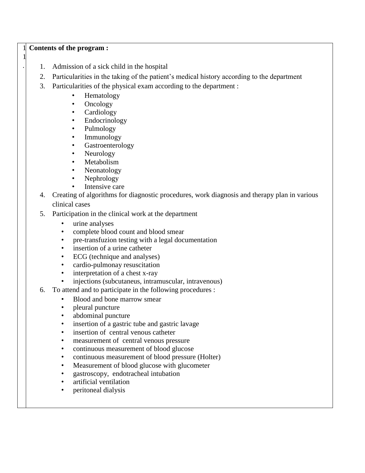## 1 **Contents of the program :**

1 .

- 1. Admission of a sick child in the hospital
- 2. Particularities in the taking of the patient's medical history according to the department
- 3. Particularities of the physical exam according to the department :
	- Hematology
	- Oncology
	- **Cardiology**
	- **Endocrinology**
	- Pulmology
	- Immunology
	- **Gastroenterology**
	- Neurology
	- Metabolism
	- Neonatology
	- Nephrology
	- Intensive care
- 4. Creating of algorithms for diagnostic procedures, work diagnosis and therapy plan in various clinical cases
- 5. Participation in the clinical work at the department
	- urine analyses
	- complete blood count and blood smear
	- pre-transfuzion testing with a legal documentation
	- insertion of a urine catheter
	- ECG (technique and analyses)
	- cardio-pulmonay resuscitation
	- interpretation of a chest x-ray
	- injections (subcutaneus, intramuscular, intravenous)
- 6. To attend and to participate in the following procedures :
	- Blood and bone marrow smear
	- pleural puncture
	- abdominal puncture
	- insertion of a gastric tube and gastric lavage
	- insertion of central venous catheter
	- measurement of central venous pressure
	- continuous measurement of blood glucose
	- continuous measurement of blood pressure (Holter)
	- Measurement of blood glucose with glucometer
	- gastroscopy, endotracheal intubation
	- artificial ventilation
	- peritoneal dialysis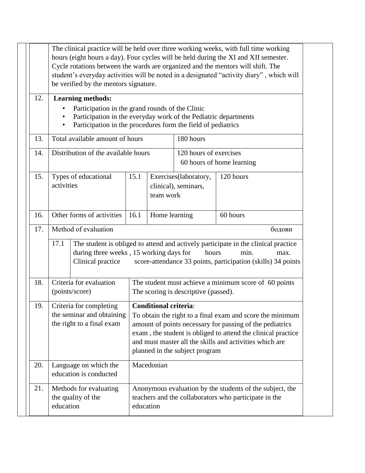|     | hours (eight hours a day). Four cycles will be held during the XI and XII semester.<br>Cycle rotations between the wards are organized and the mentors will shift. The<br>be verified by the mentors signature.     |                                                                                                                                            |                                      |                                               | student's everyday activities will be noted in a designated "activity diary", which will                                                                                                                                                         |  |
|-----|---------------------------------------------------------------------------------------------------------------------------------------------------------------------------------------------------------------------|--------------------------------------------------------------------------------------------------------------------------------------------|--------------------------------------|-----------------------------------------------|--------------------------------------------------------------------------------------------------------------------------------------------------------------------------------------------------------------------------------------------------|--|
| 12. | <b>Learning methods:</b><br>Participation in the grand rounds of the Clinic<br>Participation in the everyday work of the Pediatric departments<br>Participation in the procedures form the field of pediatrics<br>٠ |                                                                                                                                            |                                      |                                               |                                                                                                                                                                                                                                                  |  |
| 13. |                                                                                                                                                                                                                     | Total available amount of hours<br>180 hours<br>Distribution of the available hours<br>120 hours of exercises<br>60 hours of home learning |                                      |                                               |                                                                                                                                                                                                                                                  |  |
| 14. |                                                                                                                                                                                                                     |                                                                                                                                            |                                      |                                               |                                                                                                                                                                                                                                                  |  |
| 15. | Types of educational<br>activities                                                                                                                                                                                  | 15.1                                                                                                                                       | team work                            | Exercises(laboratory,<br>clinical), seminars, | 120 hours                                                                                                                                                                                                                                        |  |
| 16. | Other forms of activities                                                                                                                                                                                           | 16.1                                                                                                                                       | Home learning                        |                                               | 60 hours                                                                                                                                                                                                                                         |  |
| 18. | 17.1<br>during three weeks, 15 working days for<br>Clinical practice<br>Criteria for evaluation                                                                                                                     |                                                                                                                                            |                                      | hours                                         | The student is obliged to attend and actively participate in the clinical practice<br>min.<br>max.<br>score-attendance 33 points, participation (skills) 34 points<br>The student must achieve a minimum score of 60 points                      |  |
|     | (points/score)                                                                                                                                                                                                      |                                                                                                                                            | The scoring is descriptive (passed). |                                               |                                                                                                                                                                                                                                                  |  |
| 19. | Criteria for completing<br>the seminar and obtaining<br>the right to a final exam                                                                                                                                   |                                                                                                                                            | <b>Conditional criteria:</b>         | planned in the subject program                | To obtain the right to a final exam and score the minimum<br>amount of points necessary for passing of the pediatrics<br>exam, the student is obliged to attend the clinical practice<br>and must master all the skills and activities which are |  |
|     |                                                                                                                                                                                                                     |                                                                                                                                            |                                      |                                               |                                                                                                                                                                                                                                                  |  |
| 20. | Language on which the<br>education is conducted                                                                                                                                                                     |                                                                                                                                            | Macedonian                           |                                               |                                                                                                                                                                                                                                                  |  |